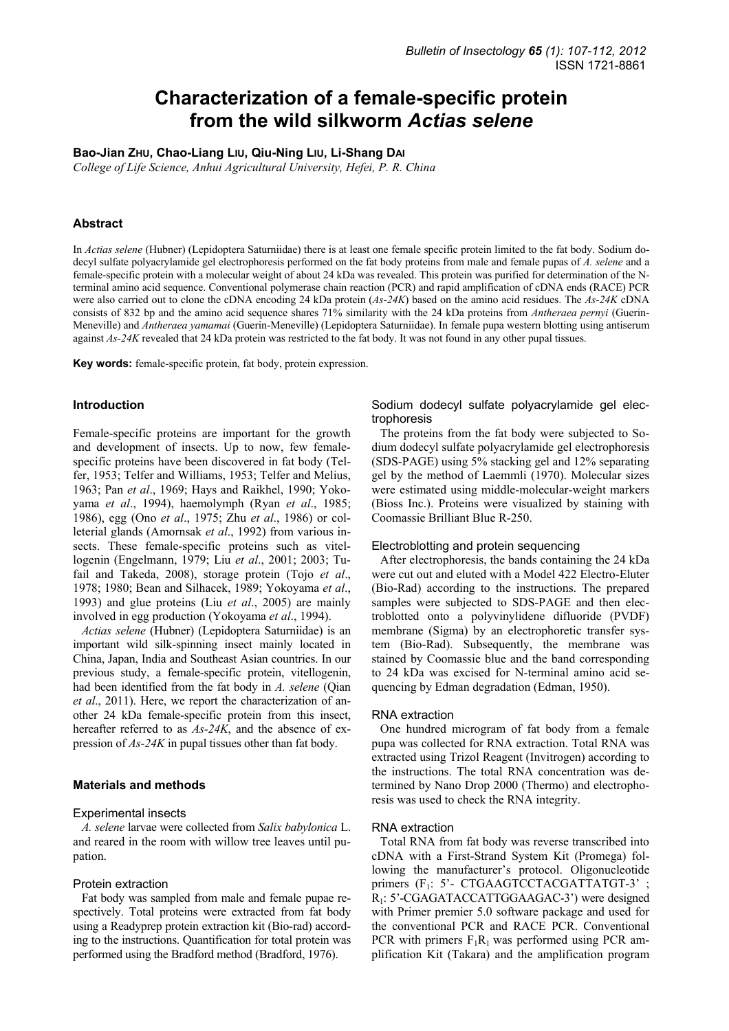# **Characterization of a female-specific protein from the wild silkworm** *Actias selene*

**Bao-Jian ZHU, Chao-Liang LIU, Qiu-Ning LIU, Li-Shang DAI**

*College of Life Science, Anhui Agricultural University, Hefei, P. R. China* 

# **Abstract**

In *Actias selene* (Hubner) (Lepidoptera Saturniidae) there is at least one female specific protein limited to the fat body. Sodium dodecyl sulfate polyacrylamide gel electrophoresis performed on the fat body proteins from male and female pupas of *A. selene* and a female-specific protein with a molecular weight of about 24 kDa was revealed. This protein was purified for determination of the Nterminal amino acid sequence. Conventional polymerase chain reaction (PCR) and rapid amplification of cDNA ends (RACE) PCR were also carried out to clone the cDNA encoding 24 kDa protein (*As-24K*) based on the amino acid residues. The *As-24K* cDNA consists of 832 bp and the amino acid sequence shares 71% similarity with the 24 kDa proteins from *Antheraea pernyi* (Guerin-Meneville) and *Antheraea yamamai* (Guerin-Meneville) (Lepidoptera Saturniidae). In female pupa western blotting using antiserum against *As-24K* revealed that 24 kDa protein was restricted to the fat body. It was not found in any other pupal tissues.

**Key words:** female-specific protein, fat body, protein expression.

## **Introduction**

Female-specific proteins are important for the growth and development of insects. Up to now, few femalespecific proteins have been discovered in fat body (Telfer, 1953; Telfer and Williams, 1953; Telfer and Melius, 1963; Pan *et al*., 1969; Hays and Raikhel, 1990; Yokoyama *et al*., 1994), haemolymph (Ryan *et al*., 1985; 1986), egg (Ono *et al*., 1975; Zhu *et al*., 1986) or colleterial glands (Amornsak *et al*., 1992) from various insects. These female-specific proteins such as vitellogenin (Engelmann, 1979; Liu *et al*., 2001; 2003; Tufail and Takeda, 2008), storage protein (Tojo *et al*., 1978; 1980; Bean and Silhacek, 1989; Yokoyama *et al*., 1993) and glue proteins (Liu *et al*., 2005) are mainly involved in egg production (Yokoyama *et al*., 1994).

*Actias selene* (Hubner) (Lepidoptera Saturniidae) is an important wild silk-spinning insect mainly located in China, Japan, India and Southeast Asian countries. In our previous study, a female-specific protein, vitellogenin, had been identified from the fat body in *A. selene* (Qian *et al*., 2011). Here, we report the characterization of another 24 kDa female-specific protein from this insect, hereafter referred to as *As-24K*, and the absence of expression of *As-24K* in pupal tissues other than fat body.

# **Materials and methods**

#### Experimental insects

*A. selene* larvae were collected from *Salix babylonica* L. and reared in the room with willow tree leaves until pupation.

#### Protein extraction

Fat body was sampled from male and female pupae respectively. Total proteins were extracted from fat body using a Readyprep protein extraction kit (Bio-rad) according to the instructions. Quantification for total protein was performed using the Bradford method (Bradford, 1976).

# Sodium dodecyl sulfate polyacrylamide gel electrophoresis

The proteins from the fat body were subjected to Sodium dodecyl sulfate polyacrylamide gel electrophoresis (SDS-PAGE) using 5% stacking gel and 12% separating gel by the method of Laemmli (1970). Molecular sizes were estimated using middle-molecular-weight markers (Bioss Inc.). Proteins were visualized by staining with Coomassie Brilliant Blue R-250.

## Electroblotting and protein sequencing

After electrophoresis, the bands containing the 24 kDa were cut out and eluted with a Model 422 Electro-Eluter (Bio-Rad) according to the instructions. The prepared samples were subjected to SDS-PAGE and then electroblotted onto a polyvinylidene difluoride (PVDF) membrane (Sigma) by an electrophoretic transfer system (Bio-Rad). Subsequently, the membrane was stained by Coomassie blue and the band corresponding to 24 kDa was excised for N-terminal amino acid sequencing by Edman degradation (Edman, 1950).

#### RNA extraction

One hundred microgram of fat body from a female pupa was collected for RNA extraction. Total RNA was extracted using Trizol Reagent (Invitrogen) according to the instructions. The total RNA concentration was determined by Nano Drop 2000 (Thermo) and electrophoresis was used to check the RNA integrity.

## RNA extraction

Total RNA from fat body was reverse transcribed into cDNA with a First-Strand System Kit (Promega) following the manufacturer's protocol. Oligonucleotide primers (F<sub>1</sub>: 5'- CTGAAGTCCTACGATTATGT-3'; R1: 5'-CGAGATACCATTGGAAGAC-3') were designed with Primer premier 5.0 software package and used for the conventional PCR and RACE PCR. Conventional PCR with primers  $F_1R_1$  was performed using PCR amplification Kit (Takara) and the amplification program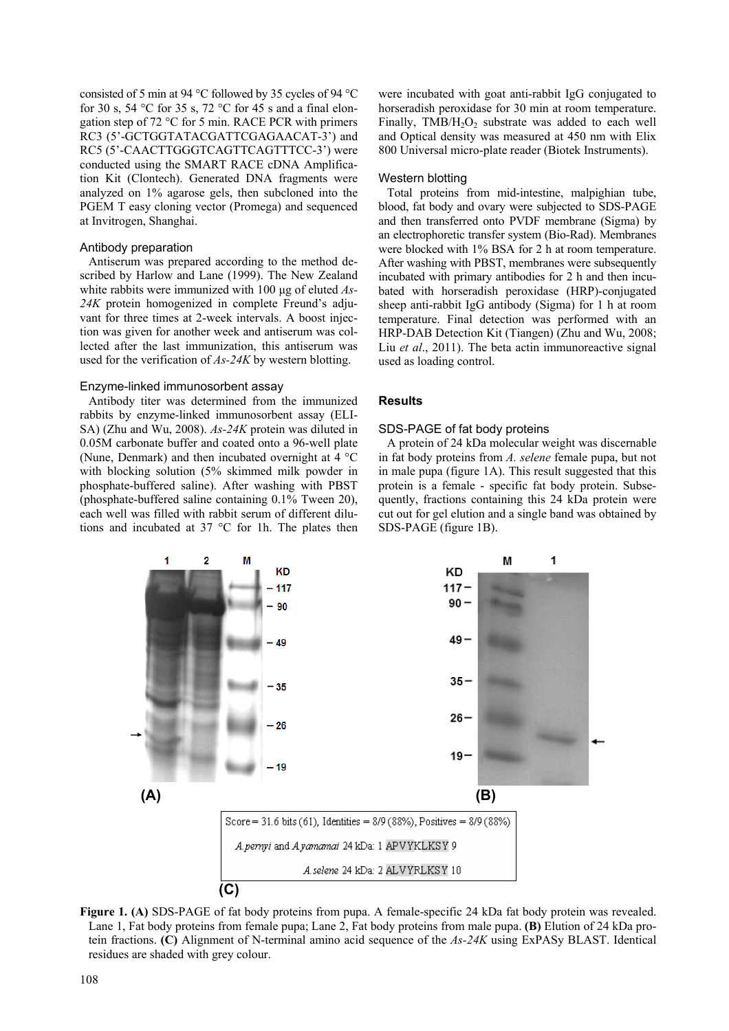consisted of 5 min at 94 °C followed by 35 cycles of 94 °C for 30 s, 54 °C for 35 s, 72 °C for 45 s and a final elongation step of 72 °C for 5 min. RACE PCR with primers RC3 (5'-GCTGGTATACGATTCGAGAACAT-3') and RC5 (5'-CAACTTGGGTCAGTTCAGTTTCC-3') were conducted using the SMART RACE cDNA Amplification Kit (Clontech). Generated DNA fragments were analyzed on 1% agarose gels, then subcloned into the PGEM T easy cloning vector (Promega) and sequenced at Invitrogen, Shanghai.

# Antibody preparation

Antiserum was prepared according to the method described by Harlow and Lane (1999). The New Zealand white rabbits were immunized with 100 µg of eluted *As-24K* protein homogenized in complete Freund's adjuvant for three times at 2-week intervals. A boost injection was given for another week and antiserum was collected after the last immunization, this antiserum was used for the verification of *As-24K* by western blotting.

## Enzyme-linked immunosorbent assay

Antibody titer was determined from the immunized rabbits by enzyme-linked immunosorbent assay (ELI-SA) (Zhu and Wu, 2008). *As-24K* protein was diluted in 0.05M carbonate buffer and coated onto a 96-well plate (Nune, Denmark) and then incubated overnight at 4 °C with blocking solution (5% skimmed milk powder in phosphate-buffered saline). After washing with PBST (phosphate-buffered saline containing 0.1% Tween 20), each well was filled with rabbit serum of different dilutions and incubated at 37 °C for 1h. The plates then were incubated with goat anti-rabbit IgG conjugated to horseradish peroxidase for 30 min at room temperature. Finally,  $TMB/H<sub>2</sub>O<sub>2</sub>$  substrate was added to each well and Optical density was measured at 450 nm with Elix 800 Universal micro-plate reader (Biotek Instruments).

## Western blotting

Total proteins from mid-intestine, malpighian tube, blood, fat body and ovary were subjected to SDS-PAGE and then transferred onto PVDF membrane (Sigma) by an electrophoretic transfer system (Bio-Rad). Membranes were blocked with 1% BSA for 2 h at room temperature. After washing with PBST, membranes were subsequently incubated with primary antibodies for 2 h and then incubated with horseradish peroxidase (HRP)-conjugated sheep anti-rabbit IgG antibody (Sigma) for 1 h at room temperature. Final detection was performed with an HRP-DAB Detection Kit (Tiangen) (Zhu and Wu, 2008; Liu *et al*., 2011). The beta actin immunoreactive signal used as loading control.

# **Results**

## SDS-PAGE of fat body proteins

A protein of 24 kDa molecular weight was discernable in fat body proteins from *A. selene* female pupa, but not in male pupa (figure 1A). This result suggested that this protein is a female - specific fat body protein. Subsequently, fractions containing this 24 kDa protein were cut out for gel elution and a single band was obtained by SDS-PAGE (figure 1B).



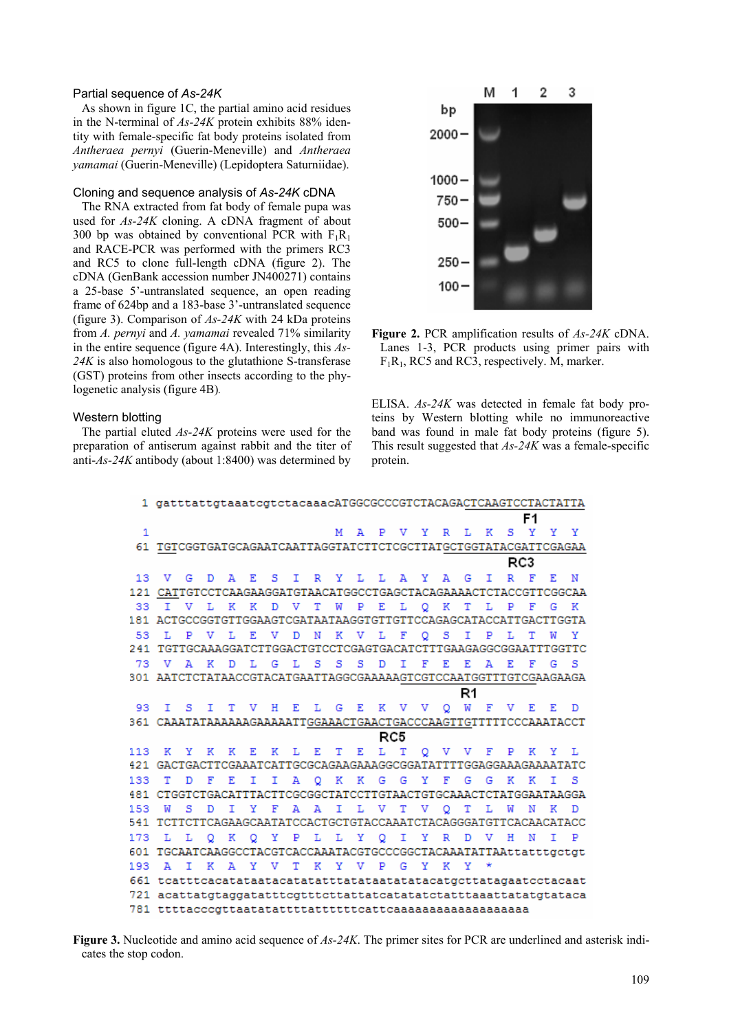# Partial sequence of *As-24K*

As shown in figure 1C, the partial amino acid residues in the N-terminal of *As-24K* protein exhibits 88% identity with female-specific fat body proteins isolated from *Antheraea pernyi* (Guerin-Meneville) and *Antheraea yamamai* (Guerin-Meneville) (Lepidoptera Saturniidae).

## Cloning and sequence analysis of *As-24K* cDNA

The RNA extracted from fat body of female pupa was used for *As-24K* cloning. A cDNA fragment of about 300 bp was obtained by conventional PCR with  $F_1R_1$ and RACE-PCR was performed with the primers RC3 and RC5 to clone full-length cDNA (figure 2). The cDNA (GenBank accession number JN400271) contains a 25-base 5'-untranslated sequence, an open reading frame of 624bp and a 183-base 3'-untranslated sequence (figure 3). Comparison of *As-24K* with 24 kDa proteins from *A. pernyi* and *A. yamamai* revealed 71% similarity in the entire sequence (figure 4A). Interestingly, this *As-24K* is also homologous to the glutathione S-transferase (GST) proteins from other insects according to the phylogenetic analysis (figure 4B)*.*

#### Western blotting

The partial eluted *As-24K* proteins were used for the preparation of antiserum against rabbit and the titer of anti-*As-24K* antibody (about 1:8400) was determined by



**Figure 2.** PCR amplification results of *As-24K* cDNA. Lanes 1-3, PCR products using primer pairs with  $F_1R_1$ , RC5 and RC3, respectively. M, marker.

ELISA. *As-24K* was detected in female fat body proteins by Western blotting while no immunoreactive band was found in male fat body proteins (figure 5). This result suggested that *As-24K* was a female-specific protein.

|              | 1 gatttattgtaaatcgtctacaaacATGGCGCCCGTCTACAGACTCAAGTCCTACTATTA   |                                                                  |              |                           |  |       |  |  |                         |  |     |  |              |                |                                   |                |   |           |              |              |
|--------------|------------------------------------------------------------------|------------------------------------------------------------------|--------------|---------------------------|--|-------|--|--|-------------------------|--|-----|--|--------------|----------------|-----------------------------------|----------------|---|-----------|--------------|--------------|
|              |                                                                  |                                                                  |              |                           |  |       |  |  |                         |  |     |  |              | F <sub>1</sub> |                                   |                |   |           |              |              |
| $\mathbf{1}$ |                                                                  |                                                                  |              |                           |  |       |  |  |                         |  |     |  |              |                | M A P V Y R L K                   |                |   | $S - Y$   | Y.           | Y            |
|              | 61 TGTCGGTGATGCAGAATCAATTAGGTATCTTCTCGCTTATGCTGGTATACGATTCGAGAA  |                                                                  |              |                           |  |       |  |  |                         |  |     |  |              |                |                                   |                |   |           |              |              |
|              | RC3                                                              |                                                                  |              |                           |  |       |  |  |                         |  |     |  |              |                |                                   |                |   |           |              |              |
| 13           | V G                                                              |                                                                  |              | D A E S I R Y L L A Y A G |  |       |  |  |                         |  |     |  |              |                |                                   | Τ.             |   | R F       | F.           | N            |
|              | 121 CATTGTCCTCAAGAAGGATGTAACATGGCCTGAGCTACAGAAAACTCTACCGTTCGGCAA |                                                                  |              |                           |  |       |  |  |                         |  |     |  |              |                |                                   |                |   |           |              |              |
| 33.          | I V L K K D V T W                                                |                                                                  |              |                           |  |       |  |  |                         |  |     |  |              |                | PELOKTLP                          |                |   | F         | G            | $\mathbb{R}$ |
|              | 181 ACTGCCGGTGTTGGAAGTCGATAATAAGGTGTTGTTCCAGAGCATACCATTGACTTGGTA |                                                                  |              |                           |  |       |  |  |                         |  |     |  |              |                |                                   |                |   |           |              |              |
| 53           |                                                                  |                                                                  |              |                           |  |       |  |  |                         |  |     |  |              |                | L P V L E V D N K V L F O S I P L |                |   | т         | w            | Y            |
|              | 241 TGTTGCAAAGGATCTTGGACTGTCCTCGAGTGACATCTTTGAAGAGGCGGAATTTGGTTC |                                                                  |              |                           |  |       |  |  |                         |  |     |  |              |                |                                   |                |   |           |              |              |
|              | 73 V                                                             | A K                                                              |              |                           |  |       |  |  | D L G L S S S D I       |  |     |  | $\mathbf{F}$ | E.             | F.                                | A <sub>R</sub> |   | F         | G            | - 5          |
|              | 301 AATCTCTATAACCGTACATGAATTAGGCGAAAAAGTCGTCCAATGGTTTGTCGAAGAAGA |                                                                  |              |                           |  |       |  |  |                         |  |     |  |              |                |                                   |                |   |           |              |              |
|              |                                                                  | R1                                                               |              |                           |  |       |  |  |                         |  |     |  |              |                |                                   |                |   |           |              |              |
|              | 93 I                                                             |                                                                  |              |                           |  |       |  |  |                         |  |     |  |              |                | S I T V H E L G E K V V O W F V E |                |   |           | $\mathbf{F}$ | D.           |
|              | 361 CAAATATAAAAAAGAAAAATTGGAAACTGAACTGACCCAAGTTGTTTTTCCCAAATACCT |                                                                  |              |                           |  |       |  |  |                         |  |     |  |              |                |                                   |                |   |           |              |              |
|              |                                                                  |                                                                  |              |                           |  |       |  |  |                         |  | RC5 |  |              |                |                                   |                |   |           |              |              |
|              | 113 K Y K K E K L E T E L T Q V V F P K Y                        |                                                                  |              |                           |  |       |  |  |                         |  |     |  |              |                |                                   |                |   |           |              | т.           |
|              |                                                                  |                                                                  |              |                           |  |       |  |  |                         |  |     |  |              |                |                                   |                |   |           |              |              |
| 133          | T.                                                               | D                                                                | F            |                           |  |       |  |  | E I I A O K K G G Y F   |  |     |  |              |                |                                   |                |   | G G K K I |              | s            |
|              | 481 CTGGTCTGACATTTACTTCGCGGCTATCCTTGTAACTGTGCAAACTCTATGGAATAAGGA |                                                                  |              |                           |  |       |  |  |                         |  |     |  |              |                |                                   |                |   |           |              |              |
| 153          | w                                                                | s                                                                | D            |                           |  | I Y F |  |  |                         |  |     |  |              |                | A A I L V T V O T L               |                | W | N         | к            |              |
|              | 541 TCTTCTTCAGAAGCAATATCCACTGCTGTACCAAATCTACAGGGATGTTCACAACATACC |                                                                  |              |                           |  |       |  |  |                         |  |     |  |              |                |                                   |                |   |           |              |              |
| 173          |                                                                  |                                                                  |              |                           |  |       |  |  |                         |  |     |  |              |                | L L Q K O Y P L L Y O I Y R D V H |                |   | N         | т            | $\mathbf{P}$ |
|              | 601 TGCAATCAAGGCCTACGTCACCAAATACGTGCCCGGCTACAAATATTAAttatttgctgt |                                                                  |              |                           |  |       |  |  |                         |  |     |  |              |                |                                   |                |   |           |              |              |
| 193          | A T                                                              |                                                                  | $\mathbb{R}$ |                           |  |       |  |  | A Y V T K Y V P G Y K Y |  |     |  |              |                |                                   |                |   |           |              |              |
|              |                                                                  | 661 tcatttcacatataatacatatatttatataatatatacatgcttatagaatcctacaat |              |                           |  |       |  |  |                         |  |     |  |              |                |                                   |                |   |           |              |              |
|              | 721 acattatgtaggatatttcgtttcttattatcatatatctatttaaattatatgtataca |                                                                  |              |                           |  |       |  |  |                         |  |     |  |              |                |                                   |                |   |           |              |              |
|              |                                                                  |                                                                  |              |                           |  |       |  |  |                         |  |     |  |              |                |                                   |                |   |           |              |              |

**Figure 3.** Nucleotide and amino acid sequence of *As-24K*. The primer sites for PCR are underlined and asterisk indicates the stop codon.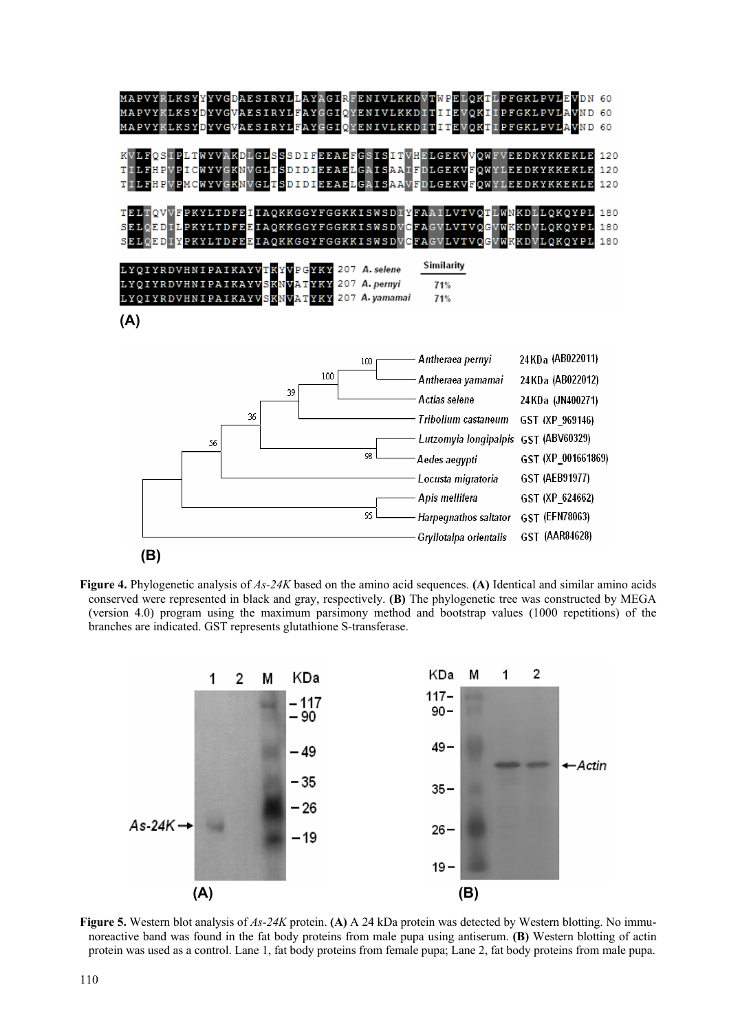

**Figure 4.** Phylogenetic analysis of *As-24K* based on the amino acid sequences. **(A)** Identical and similar amino acids conserved were represented in black and gray, respectively. **(B)** The phylogenetic tree was constructed by MEGA (version 4.0) program using the maximum parsimony method and bootstrap values (1000 repetitions) of the branches are indicated. GST represents glutathione S-transferase.



**Figure 5.** Western blot analysis of *As-24K* protein. **(A)** A 24 kDa protein was detected by Western blotting. No immunoreactive band was found in the fat body proteins from male pupa using antiserum. **(B)** Western blotting of actin protein was used as a control. Lane 1, fat body proteins from female pupa; Lane 2, fat body proteins from male pupa.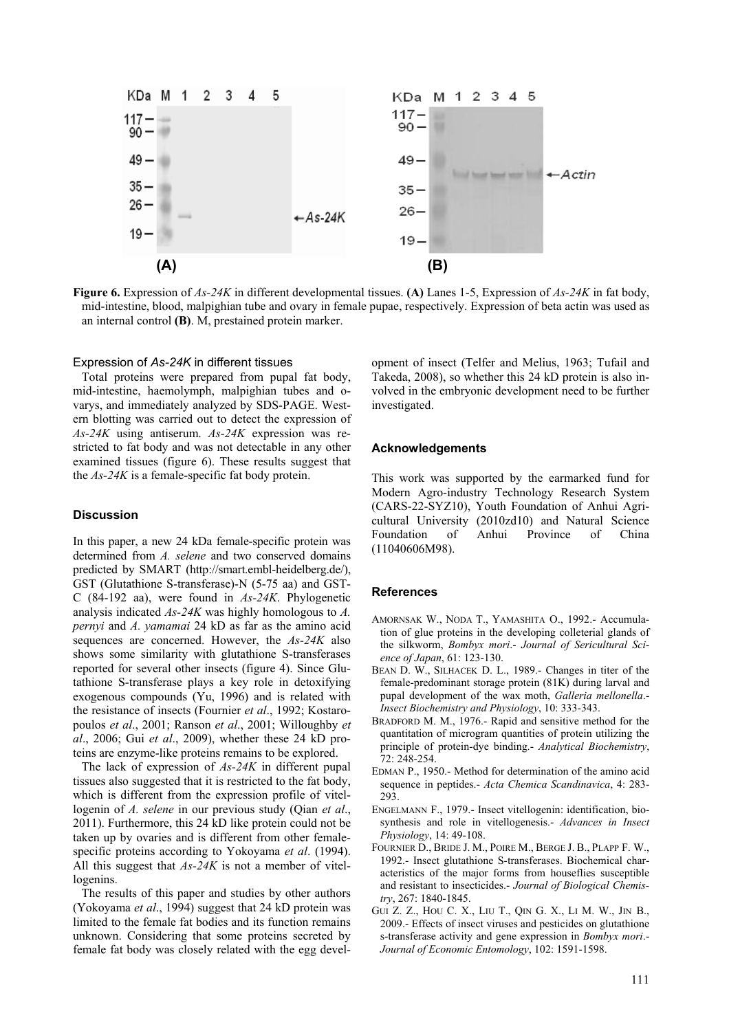

**Figure 6.** Expression of *As-24K* in different developmental tissues. **(A)** Lanes 1-5, Expression of *As-24K* in fat body, mid-intestine, blood, malpighian tube and ovary in female pupae, respectively. Expression of beta actin was used as an internal control **(B)**. M, prestained protein marker.

## Expression of *As-24K* in different tissues

Total proteins were prepared from pupal fat body, mid-intestine, haemolymph, malpighian tubes and ovarys, and immediately analyzed by SDS-PAGE. Western blotting was carried out to detect the expression of *As-24K* using antiserum. *As-24K* expression was restricted to fat body and was not detectable in any other examined tissues (figure 6). These results suggest that the *As-24K* is a female-specific fat body protein.

# **Discussion**

In this paper, a new 24 kDa female-specific protein was determined from *A. selene* and two conserved domains predicted by SMART (http://smart.embl-heidelberg.de/), GST (Glutathione S-transferase)-N (5-75 aa) and GST-C (84-192 aa), were found in *As-24K*. Phylogenetic analysis indicated *As-24K* was highly homologous to *A. pernyi* and *A. yamamai* 24 kD as far as the amino acid sequences are concerned. However, the *As-24K* also shows some similarity with glutathione S-transferases reported for several other insects (figure 4). Since Glutathione S-transferase plays a key role in detoxifying exogenous compounds (Yu, 1996) and is related with the resistance of insects (Fournier *et al*., 1992; Kostaropoulos *et al*., 2001; Ranson *et al*., 2001; Willoughby *et al*., 2006; Gui *et al*., 2009), whether these 24 kD proteins are enzyme-like proteins remains to be explored.

The lack of expression of *As-24K* in different pupal tissues also suggested that it is restricted to the fat body, which is different from the expression profile of vitellogenin of *A. selene* in our previous study (Qian *et al*., 2011). Furthermore, this 24 kD like protein could not be taken up by ovaries and is different from other femalespecific proteins according to Yokoyama *et al*. (1994). All this suggest that *As-24K* is not a member of vitellogenins.

The results of this paper and studies by other authors (Yokoyama *et al*., 1994) suggest that 24 kD protein was limited to the female fat bodies and its function remains unknown. Considering that some proteins secreted by female fat body was closely related with the egg devel-

opment of insect (Telfer and Melius, 1963; Tufail and Takeda, 2008), so whether this 24 kD protein is also involved in the embryonic development need to be further investigated.

## **Acknowledgements**

This work was supported by the earmarked fund for Modern Agro-industry Technology Research System (CARS-22-SYZ10), Youth Foundation of Anhui Agricultural University (2010zd10) and Natural Science Foundation of Anhui Province of China (11040606M98).

## **References**

- AMORNSAK W., NODA T., YAMASHITA O., 1992.- Accumulation of glue proteins in the developing colleterial glands of the silkworm, *Bombyx mori*.- *Journal of Sericultural Science of Japan*, 61: 123-130.
- BEAN D. W., SILHACEK D. L., 1989.- Changes in titer of the female-predominant storage protein (81K) during larval and pupal development of the wax moth, *Galleria mellonella*.- *Insect Biochemistry and Physiology*, 10: 333-343.
- BRADFORD M. M., 1976.- Rapid and sensitive method for the quantitation of microgram quantities of protein utilizing the principle of protein-dye binding.- *Analytical Biochemistry*, 72: 248-254.
- EDMAN P., 1950.- Method for determination of the amino acid sequence in peptides.- *Acta Chemica Scandinavica*, 4: 283- 293.
- ENGELMANN F., 1979.- Insect vitellogenin: identification, biosynthesis and role in vitellogenesis.- *Advances in Insect Physiology*, 14: 49-108.
- FOURNIER D., BRIDE J. M., POIRE M., BERGE J. B., PLAPP F. W., 1992.- Insect glutathione S-transferases. Biochemical characteristics of the major forms from houseflies susceptible and resistant to insecticides.- *Journal of Biological Chemistry*, 267: 1840-1845.
- GUI Z. Z., HOU C. X., LIU T., QIN G. X., LI M. W., JIN B., 2009.- Effects of insect viruses and pesticides on glutathione s-transferase activity and gene expression in *Bombyx mori*.- *Journal of Economic Entomology*, 102: 1591-1598.